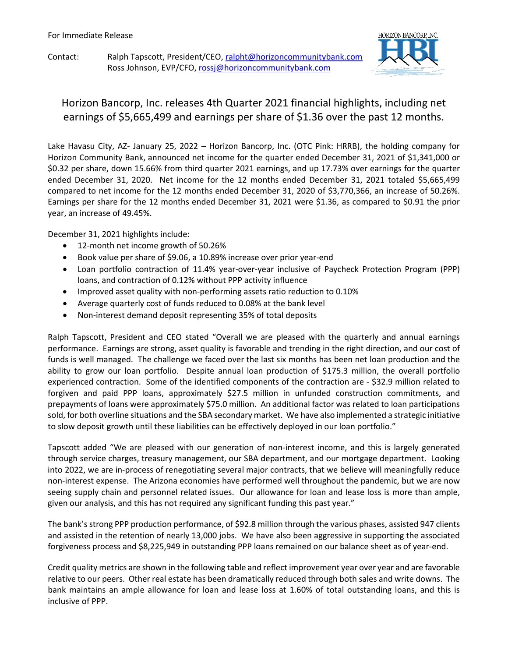Contact: Ralph Tapscott, President/CEO, ralpht@horizoncommunitybank.com Ross Johnson, EVP/CFO[, rossj@horizoncommunitybank.com](mailto:rossj@horizoncommunitybank.com)



## Horizon Bancorp, Inc. releases 4th Quarter 2021 financial highlights, including net earnings of \$5,665,499 and earnings per share of \$1.36 over the past 12 months.

Lake Havasu City, AZ- January 25, 2022 – Horizon Bancorp, Inc. (OTC Pink: HRRB), the holding company for Horizon Community Bank, announced net income for the quarter ended December 31, 2021 of \$1,341,000 or \$0.32 per share, down 15.66% from third quarter 2021 earnings, and up 17.73% over earnings for the quarter ended December 31, 2020. Net income for the 12 months ended December 31, 2021 totaled \$5,665,499 compared to net income for the 12 months ended December 31, 2020 of \$3,770,366, an increase of 50.26%. Earnings per share for the 12 months ended December 31, 2021 were \$1.36, as compared to \$0.91 the prior year, an increase of 49.45%.

December 31, 2021 highlights include:

- 12-month net income growth of 50.26%
- Book value per share of \$9.06, a 10.89% increase over prior year-end
- Loan portfolio contraction of 11.4% year-over-year inclusive of Paycheck Protection Program (PPP) loans, and contraction of 0.12% without PPP activity influence
- Improved asset quality with non-performing assets ratio reduction to 0.10%
- Average quarterly cost of funds reduced to 0.08% at the bank level
- Non-interest demand deposit representing 35% of total deposits

Ralph Tapscott, President and CEO stated "Overall we are pleased with the quarterly and annual earnings performance. Earnings are strong, asset quality is favorable and trending in the right direction, and our cost of funds is well managed. The challenge we faced over the last six months has been net loan production and the ability to grow our loan portfolio. Despite annual loan production of \$175.3 million, the overall portfolio experienced contraction. Some of the identified components of the contraction are - \$32.9 million related to forgiven and paid PPP loans, approximately \$27.5 million in unfunded construction commitments, and prepayments of loans were approximately \$75.0 million. An additional factor was related to loan participations sold, for both overline situations and the SBA secondary market. We have also implemented a strategic initiative to slow deposit growth until these liabilities can be effectively deployed in our loan portfolio."

Tapscott added "We are pleased with our generation of non-interest income, and this is largely generated through service charges, treasury management, our SBA department, and our mortgage department. Looking into 2022, we are in-process of renegotiating several major contracts, that we believe will meaningfully reduce non-interest expense. The Arizona economies have performed well throughout the pandemic, but we are now seeing supply chain and personnel related issues. Our allowance for loan and lease loss is more than ample, given our analysis, and this has not required any significant funding this past year."

The bank's strong PPP production performance, of \$92.8 million through the various phases, assisted 947 clients and assisted in the retention of nearly 13,000 jobs. We have also been aggressive in supporting the associated forgiveness process and \$8,225,949 in outstanding PPP loans remained on our balance sheet as of year-end.

Credit quality metrics are shown in the following table and reflect improvement year over year and are favorable relative to our peers. Other real estate has been dramatically reduced through both sales and write downs. The bank maintains an ample allowance for loan and lease loss at 1.60% of total outstanding loans, and this is inclusive of PPP.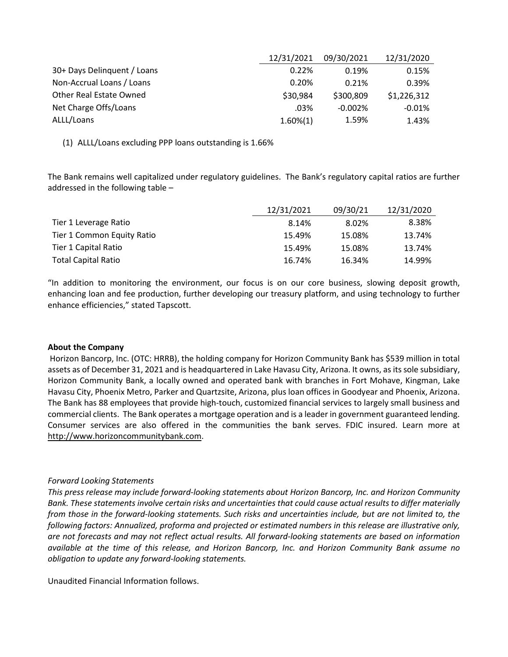|                             | 12/31/2021  | 09/30/2021 | 12/31/2020  |
|-----------------------------|-------------|------------|-------------|
| 30+ Days Delinguent / Loans | 0.22%       | 0.19%      | 0.15%       |
| Non-Accrual Loans / Loans   | 0.20%       | 0.21%      | 0.39%       |
| Other Real Estate Owned     | \$30,984    | \$300,809  | \$1,226,312 |
| Net Charge Offs/Loans       | .03%        | $-0.002\%$ | $-0.01%$    |
| ALLL/Loans                  | $1.60\%(1)$ | 1.59%      | 1.43%       |

(1) ALLL/Loans excluding PPP loans outstanding is 1.66%

The Bank remains well capitalized under regulatory guidelines. The Bank's regulatory capital ratios are further addressed in the following table –

|                            | 12/31/2021 | 09/30/21 | 12/31/2020 |
|----------------------------|------------|----------|------------|
| Tier 1 Leverage Ratio      | 8.14%      | 8.02%    | 8.38%      |
| Tier 1 Common Equity Ratio | 15.49%     | 15.08%   | 13.74%     |
| Tier 1 Capital Ratio       | 15.49%     | 15.08%   | 13.74%     |
| <b>Total Capital Ratio</b> | 16.74%     | 16.34%   | 14.99%     |

"In addition to monitoring the environment, our focus is on our core business, slowing deposit growth, enhancing loan and fee production, further developing our treasury platform, and using technology to further enhance efficiencies," stated Tapscott.

## **About the Company**

Horizon Bancorp, Inc. (OTC: HRRB), the holding company for Horizon Community Bank has \$539 million in total assets as of December 31, 2021 and is headquartered in Lake Havasu City, Arizona. It owns, as its sole subsidiary, Horizon Community Bank, a locally owned and operated bank with branches in Fort Mohave, Kingman, Lake Havasu City, Phoenix Metro, Parker and Quartzsite, Arizona, plus loan offices in Goodyear and Phoenix, Arizona. The Bank has 88 employees that provide high-touch, customized financial services to largely small business and commercial clients. The Bank operates a mortgage operation and is a leader in government guaranteed lending. Consumer services are also offered in the communities the bank serves. FDIC insured. Learn more at [http://www.horizoncommunitybank.com.](http://www.horizoncommunitybank.com/)

## *Forward Looking Statements*

*This press release may include forward-looking statements about Horizon Bancorp, Inc. and Horizon Community Bank. These statements involve certain risks and uncertainties that could cause actual results to differ materially from those in the forward-looking statements. Such risks and uncertainties include, but are not limited to, the following factors: Annualized, proforma and projected or estimated numbers in this release are illustrative only, are not forecasts and may not reflect actual results. All forward-looking statements are based on information available at the time of this release, and Horizon Bancorp, Inc. and Horizon Community Bank assume no obligation to update any forward-looking statements.*

Unaudited Financial Information follows.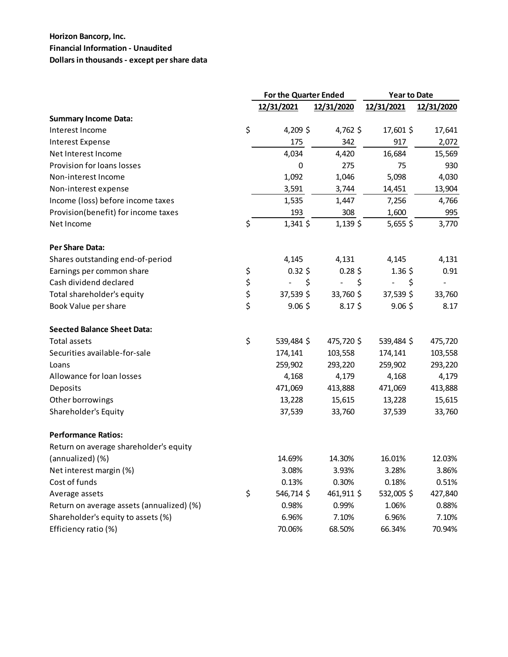## **Horizon Bancorp, Inc. Financial Information - Unaudited Dollars in thousands - except per share data**

|                                           |          | For the Quarter Ended |                     | <b>Year to Date</b>  |            |
|-------------------------------------------|----------|-----------------------|---------------------|----------------------|------------|
|                                           |          | 12/31/2021            | 12/31/2020          | 12/31/2021           | 12/31/2020 |
| <b>Summary Income Data:</b>               |          |                       |                     |                      |            |
| Interest Income                           | \$       | 4,209 \$              | 4,762 \$            | 17,601 \$            | 17,641     |
| <b>Interest Expense</b>                   |          | 175                   | 342                 | 917                  | 2,072      |
| Net Interest Income                       |          | 4,034                 | 4,420               | 16,684               | 15,569     |
| Provision for loans losses                |          | 0                     | 275                 | 75                   | 930        |
| Non-interest Income                       |          | 1,092                 | 1,046               | 5,098                | 4,030      |
| Non-interest expense                      |          | 3,591                 | 3,744               | 14,451               | 13,904     |
| Income (loss) before income taxes         |          | 1,535                 | 1,447               | 7,256                | 4,766      |
| Provision(benefit) for income taxes       |          | 193                   | 308                 | 1,600                | 995        |
| Net Income                                | \$       | $1,341$ \$            | $1,139$ \$          | 5,655\$              | 3,770      |
| <b>Per Share Data:</b>                    |          |                       |                     |                      |            |
| Shares outstanding end-of-period          |          | 4,145                 | 4,131               | 4,145                | 4,131      |
| Earnings per common share                 | \$       | $0.32$ \$             | $0.28$ \$           | $1.36\;$ \$          | 0.91       |
| Cash dividend declared                    | \$       | \$<br>$\overline{a}$  | \$<br>$\frac{1}{2}$ | \$<br>$\blacksquare$ |            |
| Total shareholder's equity                | \$<br>\$ | 37,539 \$             | 33,760 \$           | 37,539 \$            | 33,760     |
| Book Value per share                      |          | $9.06$ \$             | $8.17\frac{1}{2}$   | $9.06$ \$            | 8.17       |
| <b>Seected Balance Sheet Data:</b>        |          |                       |                     |                      |            |
| <b>Total assets</b>                       | \$       | 539,484 \$            | 475,720 \$          | 539,484 \$           | 475,720    |
| Securities available-for-sale             |          | 174,141               | 103,558             | 174,141              | 103,558    |
| Loans                                     |          | 259,902               | 293,220             | 259,902              | 293,220    |
| Allowance for loan losses                 |          | 4,168                 | 4,179               | 4,168                | 4,179      |
| Deposits                                  |          | 471,069               | 413,888             | 471,069              | 413,888    |
| Other borrowings                          |          | 13,228                | 15,615              | 13,228               | 15,615     |
| Shareholder's Equity                      |          | 37,539                | 33,760              | 37,539               | 33,760     |
| <b>Performance Ratios:</b>                |          |                       |                     |                      |            |
| Return on average shareholder's equity    |          |                       |                     |                      |            |
| (annualized) (%)                          |          | 14.69%                | 14.30%              | 16.01%               | 12.03%     |
| Net interest margin (%)                   |          | 3.08%                 | 3.93%               | 3.28%                | 3.86%      |
| Cost of funds                             |          | 0.13%                 | 0.30%               | 0.18%                | 0.51%      |
| Average assets                            | \$       | 546,714\$             | 461,911 \$          | 532,005\$            | 427,840    |
| Return on average assets (annualized) (%) |          | 0.98%                 | 0.99%               | 1.06%                | 0.88%      |
| Shareholder's equity to assets (%)        |          | 6.96%                 | 7.10%               | 6.96%                | 7.10%      |
| Efficiency ratio (%)                      |          | 70.06%                | 68.50%              | 66.34%               | 70.94%     |